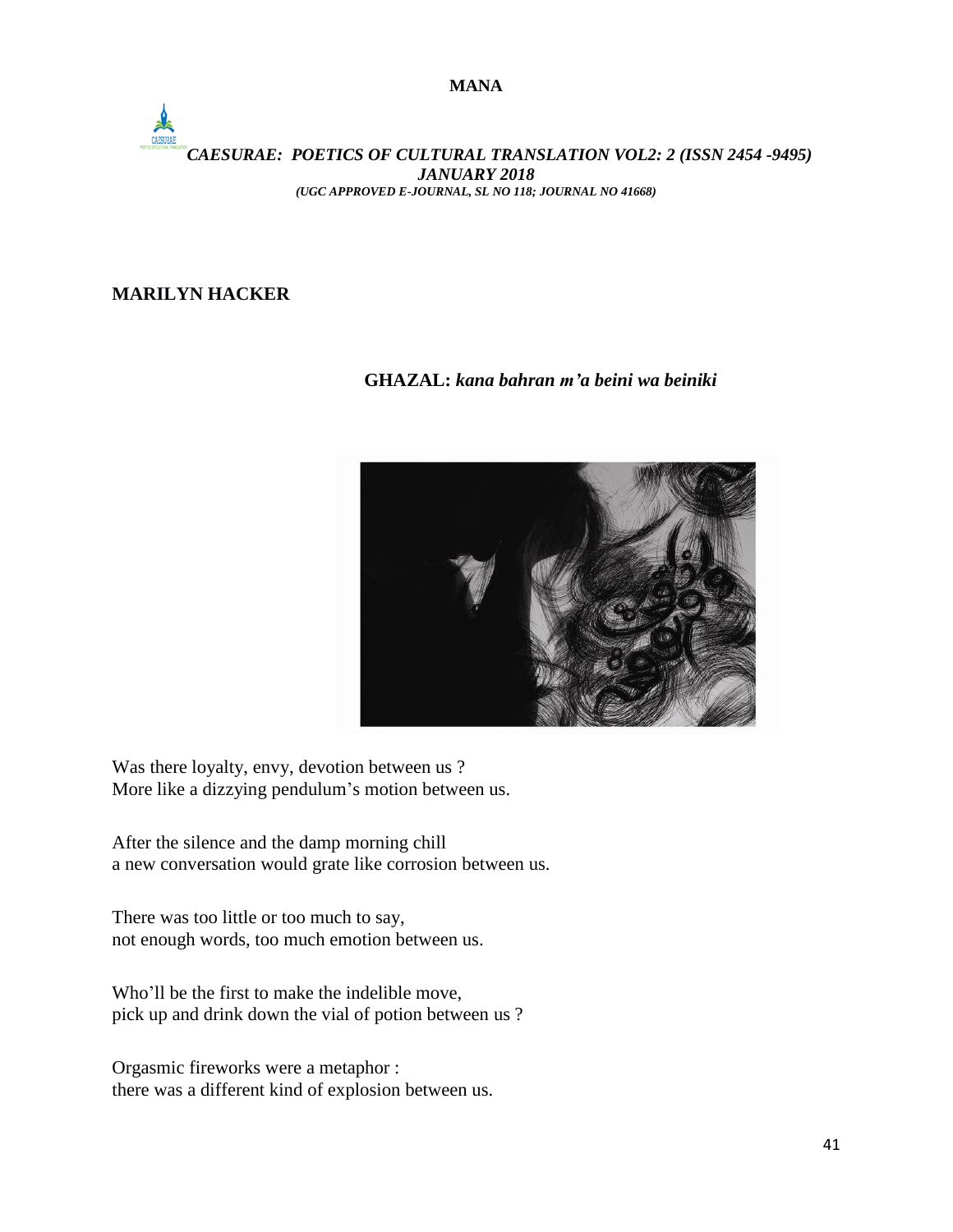### *CAESURAE: POETICS OF CULTURAL TRANSLATION VOL2: 2 (ISSN 2454 -9495) JANUARY 2018 (UGC APPROVED E-JOURNAL, SL NO 118; JOURNAL NO 41668)*

## **MARILYN HACKER**

## **GHAZAL:** *kana bahran m'a beini wa beiniki*



Was there loyalty, envy, devotion between us ? More like a dizzying pendulum's motion between us.

After the silence and the damp morning chill a new conversation would grate like corrosion between us.

There was too little or too much to say, not enough words, too much emotion between us.

Who'll be the first to make the indelible move, pick up and drink down the vial of potion between us ?

Orgasmic fireworks were a metaphor : there was a different kind of explosion between us.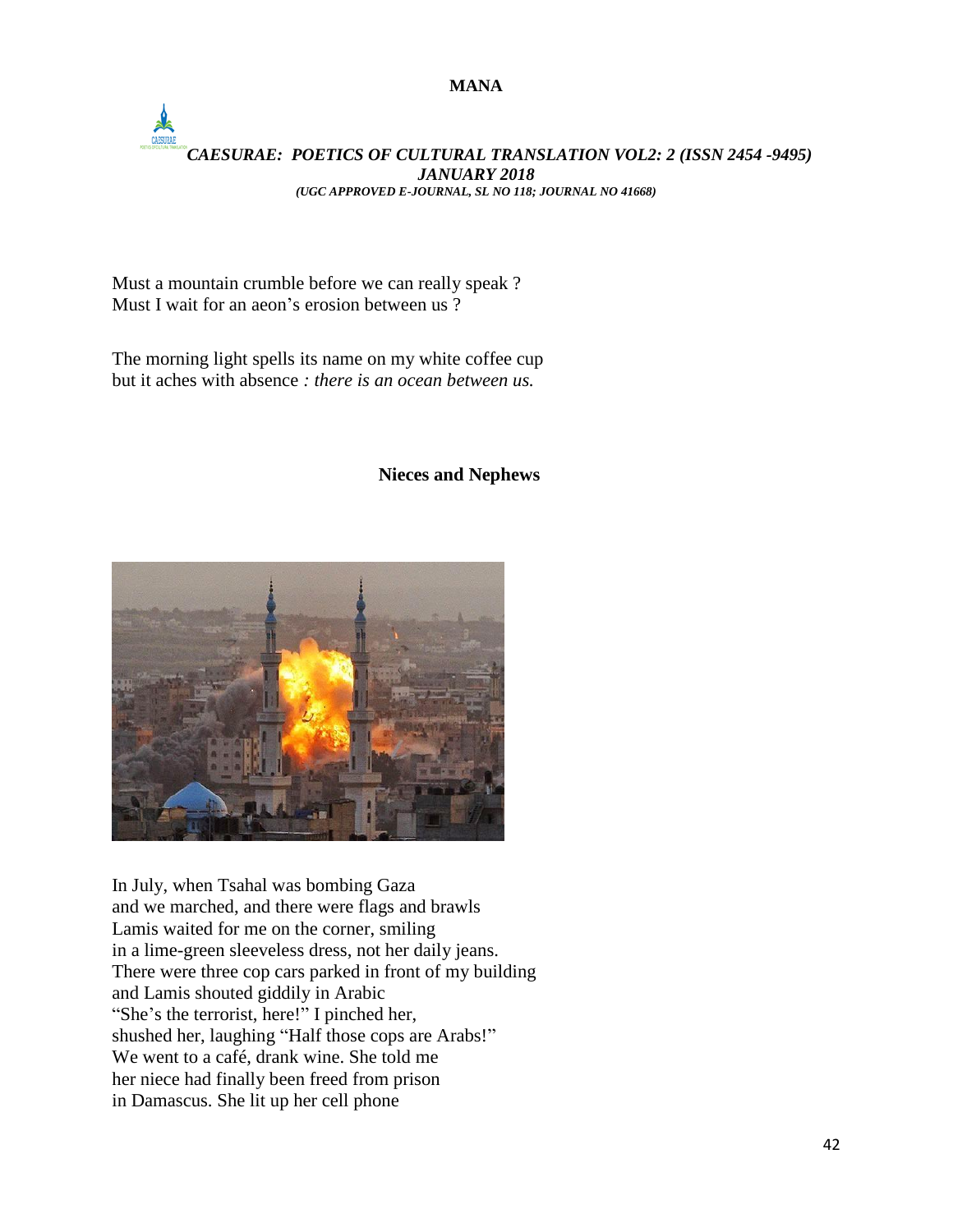## *CAESURAE: POETICS OF CULTURAL TRANSLATION VOL2: 2 (ISSN 2454 -9495) JANUARY 2018 (UGC APPROVED E-JOURNAL, SL NO 118; JOURNAL NO 41668)*

Must a mountain crumble before we can really speak ? Must I wait for an aeon's erosion between us ?

The morning light spells its name on my white coffee cup but it aches with absence *: there is an ocean between us.*

# **Nieces and Nephews**



In July, when Tsahal was bombing Gaza and we marched, and there were flags and brawls Lamis waited for me on the corner, smiling in a lime-green sleeveless dress, not her daily jeans. There were three cop cars parked in front of my building and Lamis shouted giddily in Arabic "She's the terrorist, here!" I pinched her, shushed her, laughing "Half those cops are Arabs!" We went to a café, drank wine. She told me her niece had finally been freed from prison in Damascus. She lit up her cell phone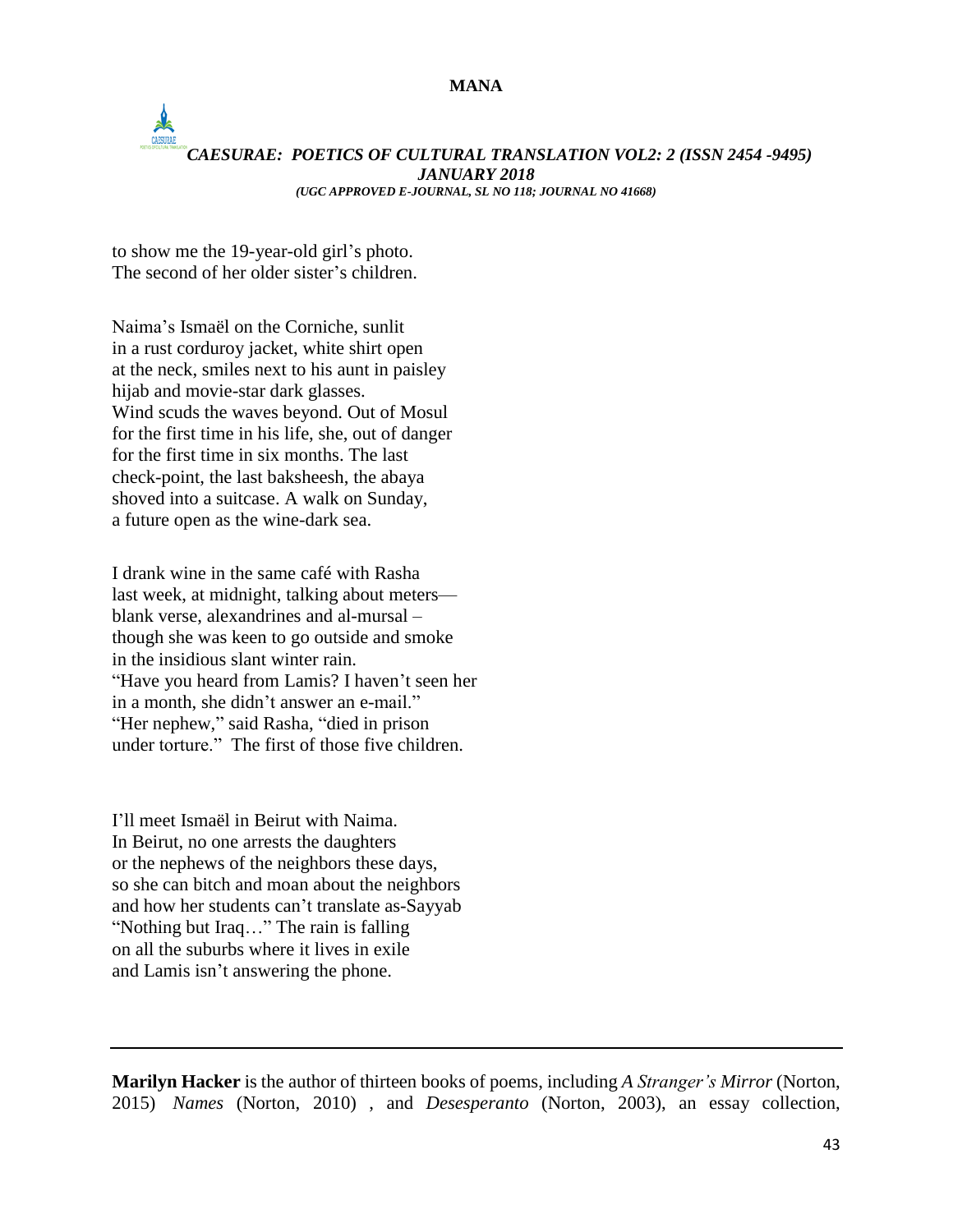### *CAESURAE: POETICS OF CULTURAL TRANSLATION VOL2: 2 (ISSN 2454 -9495) JANUARY 2018 (UGC APPROVED E-JOURNAL, SL NO 118; JOURNAL NO 41668)*

to show me the 19-year-old girl's photo. The second of her older sister's children.

Naima's Ismaël on the Corniche, sunlit in a rust corduroy jacket, white shirt open at the neck, smiles next to his aunt in paisley hijab and movie-star dark glasses. Wind scuds the waves beyond. Out of Mosul for the first time in his life, she, out of danger for the first time in six months. The last check-point, the last baksheesh, the abaya shoved into a suitcase. A walk on Sunday, a future open as the wine-dark sea.

I drank wine in the same café with Rasha last week, at midnight, talking about meters blank verse, alexandrines and al-mursal – though she was keen to go outside and smoke in the insidious slant winter rain. "Have you heard from Lamis? I haven't seen her in a month, she didn't answer an e-mail." "Her nephew," said Rasha, "died in prison under torture." The first of those five children.

I'll meet Ismaël in Beirut with Naima. In Beirut, no one arrests the daughters or the nephews of the neighbors these days, so she can bitch and moan about the neighbors and how her students can't translate as-Sayyab "Nothing but Iraq…" The rain is falling on all the suburbs where it lives in exile and Lamis isn't answering the phone.

**Marilyn Hacker** is the author of thirteen books of poems, including *A Stranger's Mirror* (Norton, 2015) *Names* (Norton, 2010) , and *Desesperanto* (Norton, 2003), an essay collection,